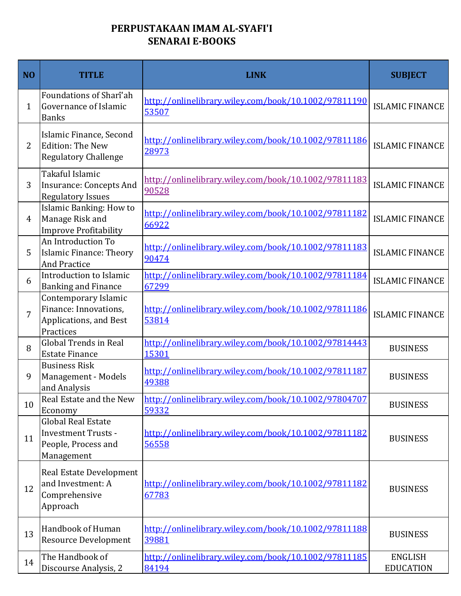## **PERPUSTAKAAN IMAM AL-SYAFI'I SENARAI E-BOOKS**

| N <sub>O</sub> | <b>TITLE</b>                                                                                 | <b>LINK</b>                                                   | <b>SUBJECT</b>                     |
|----------------|----------------------------------------------------------------------------------------------|---------------------------------------------------------------|------------------------------------|
| $\mathbf{1}$   | Foundations of Sharî'ah<br>Governance of Islamic<br><b>Banks</b>                             | http://onlinelibrary.wiley.com/book/10.1002/97811190<br>53507 | <b>ISLAMIC FINANCE</b>             |
| $\overline{2}$ | Islamic Finance, Second<br><b>Edition: The New</b><br><b>Regulatory Challenge</b>            | http://onlinelibrary.wiley.com/book/10.1002/97811186<br>28973 | <b>ISLAMIC FINANCE</b>             |
| 3              | Takaful Islamic<br><b>Insurance: Concepts And</b><br><b>Regulatory Issues</b>                | http://onlinelibrary.wiley.com/book/10.1002/97811183<br>90528 | <b>ISLAMIC FINANCE</b>             |
| 4              | Islamic Banking: How to<br>Manage Risk and<br><b>Improve Profitability</b>                   | http://onlinelibrary.wiley.com/book/10.1002/97811182<br>66922 | <b>ISLAMIC FINANCE</b>             |
| 5              | An Introduction To<br>Islamic Finance: Theory<br><b>And Practice</b>                         | http://onlinelibrary.wiley.com/book/10.1002/97811183<br>90474 | <b>ISLAMIC FINANCE</b>             |
| 6              | Introduction to Islamic<br><b>Banking and Finance</b>                                        | http://onlinelibrary.wiley.com/book/10.1002/97811184<br>67299 | <b>ISLAMIC FINANCE</b>             |
| 7              | Contemporary Islamic<br>Finance: Innovations,<br>Applications, and Best<br>Practices         | http://onlinelibrary.wiley.com/book/10.1002/97811186<br>53814 | <b>ISLAMIC FINANCE</b>             |
| 8              | <b>Global Trends in Real</b><br><b>Estate Finance</b>                                        | http://onlinelibrary.wiley.com/book/10.1002/97814443<br>15301 | <b>BUSINESS</b>                    |
| 9              | <b>Business Risk</b><br>Management - Models<br>and Analysis                                  | http://onlinelibrary.wiley.com/book/10.1002/97811187<br>49388 | <b>BUSINESS</b>                    |
| 10             | Real Estate and the New<br>Economy                                                           | http://onlinelibrary.wiley.com/book/10.1002/97804707<br>59332 | <b>BUSINESS</b>                    |
| 11             | <b>Global Real Estate</b><br><b>Investment Trusts -</b><br>People, Process and<br>Management | http://onlinelibrary.wiley.com/book/10.1002/97811182<br>56558 | <b>BUSINESS</b>                    |
| 12             | Real Estate Development<br>and Investment: A<br>Comprehensive<br>Approach                    | http://onlinelibrary.wiley.com/book/10.1002/97811182<br>67783 | <b>BUSINESS</b>                    |
| 13             | Handbook of Human<br><b>Resource Development</b>                                             | http://onlinelibrary.wiley.com/book/10.1002/97811188<br>39881 | <b>BUSINESS</b>                    |
| 14             | The Handbook of<br>Discourse Analysis, 2                                                     | http://onlinelibrary.wiley.com/book/10.1002/97811185<br>84194 | <b>ENGLISH</b><br><b>EDUCATION</b> |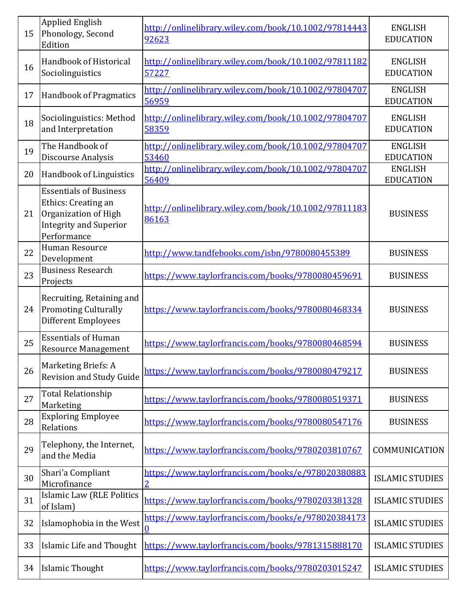| 15 | <b>Applied English</b><br>Phonology, Second<br>Edition                                                                       | http://onlinelibrary.wiley.com/book/10.1002/97814443<br>92623 | <b>ENGLISH</b><br><b>EDUCATION</b> |
|----|------------------------------------------------------------------------------------------------------------------------------|---------------------------------------------------------------|------------------------------------|
| 16 | Handbook of Historical<br>Sociolinguistics                                                                                   | http://onlinelibrary.wiley.com/book/10.1002/97811182<br>57227 | <b>ENGLISH</b><br><b>EDUCATION</b> |
| 17 | <b>Handbook of Pragmatics</b>                                                                                                | http://onlinelibrary.wiley.com/book/10.1002/97804707<br>56959 | <b>ENGLISH</b><br><b>EDUCATION</b> |
| 18 | Sociolinguistics: Method<br>and Interpretation                                                                               | http://onlinelibrary.wiley.com/book/10.1002/97804707<br>58359 | <b>ENGLISH</b><br><b>EDUCATION</b> |
| 19 | The Handbook of<br>Discourse Analysis                                                                                        | http://onlinelibrary.wiley.com/book/10.1002/97804707<br>53460 | <b>ENGLISH</b><br><b>EDUCATION</b> |
| 20 | Handbook of Linguistics                                                                                                      | http://onlinelibrary.wiley.com/book/10.1002/97804707<br>56409 | <b>ENGLISH</b><br><b>EDUCATION</b> |
| 21 | <b>Essentials of Business</b><br>Ethics: Creating an<br>Organization of High<br><b>Integrity and Superior</b><br>Performance | http://onlinelibrary.wiley.com/book/10.1002/97811183<br>86163 | <b>BUSINESS</b>                    |
| 22 | Human Resource<br>Development                                                                                                | http://www.tandfebooks.com/isbn/9780080455389                 | <b>BUSINESS</b>                    |
| 23 | <b>Business Research</b><br>Projects                                                                                         | https://www.taylorfrancis.com/books/9780080459691             | <b>BUSINESS</b>                    |
| 24 | Recruiting, Retaining and<br><b>Promoting Culturally</b><br><b>Different Employees</b>                                       | https://www.taylorfrancis.com/books/9780080468334             | <b>BUSINESS</b>                    |
| 25 | <b>Essentials of Human</b><br><b>Resource Management</b>                                                                     | https://www.taylorfrancis.com/books/9780080468594             | <b>BUSINESS</b>                    |
| 26 | <b>Marketing Briefs: A</b><br><b>Revision and Study Guide</b>                                                                | https://www.taylorfrancis.com/books/9780080479217             | <b>BUSINESS</b>                    |
| 27 | <b>Total Relationship</b><br>Marketing                                                                                       | https://www.taylorfrancis.com/books/9780080519371             | <b>BUSINESS</b>                    |
| 28 | <b>Exploring Employee</b><br>Relations                                                                                       | https://www.taylorfrancis.com/books/9780080547176             | <b>BUSINESS</b>                    |
| 29 | Telephony, the Internet,<br>and the Media                                                                                    | https://www.taylorfrancis.com/books/9780203810767             | COMMUNICATION                      |
| 30 | Shari'a Compliant<br>Microfinance                                                                                            | https://www.taylorfrancis.com/books/e/978020380883<br>2       | <b>ISLAMIC STUDIES</b>             |
| 31 | Islamic Law (RLE Politics<br>of Islam)                                                                                       | https://www.taylorfrancis.com/books/9780203381328             | <b>ISLAMIC STUDIES</b>             |
| 32 | Islamophobia in the West                                                                                                     | https://www.taylorfrancis.com/books/e/978020384173<br>0       | <b>ISLAMIC STUDIES</b>             |
| 33 | Islamic Life and Thought                                                                                                     | https://www.taylorfrancis.com/books/9781315888170             | <b>ISLAMIC STUDIES</b>             |
| 34 | <b>Islamic Thought</b>                                                                                                       | https://www.taylorfrancis.com/books/9780203015247             | <b>ISLAMIC STUDIES</b>             |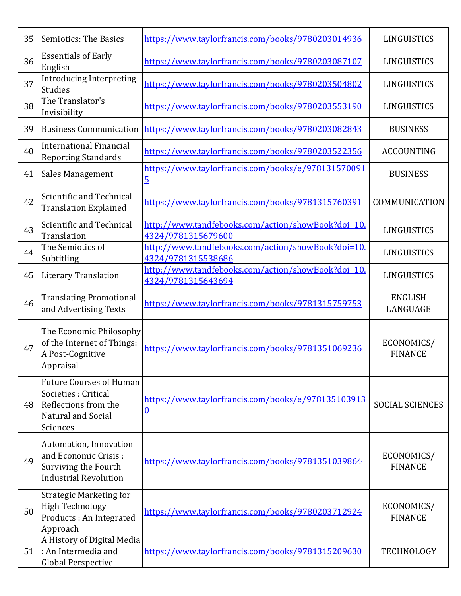| 35 | <b>Semiotics: The Basics</b>                                                                                            | https://www.taylorfrancis.com/books/9780203014936                        | LINGUISTICS                  |
|----|-------------------------------------------------------------------------------------------------------------------------|--------------------------------------------------------------------------|------------------------------|
| 36 | <b>Essentials of Early</b><br>English                                                                                   | https://www.taylorfrancis.com/books/9780203087107                        | LINGUISTICS                  |
| 37 | <b>Introducing Interpreting</b><br><b>Studies</b>                                                                       | https://www.taylorfrancis.com/books/9780203504802                        | LINGUISTICS                  |
| 38 | The Translator's<br>Invisibility                                                                                        | https://www.taylorfrancis.com/books/9780203553190                        | LINGUISTICS                  |
| 39 | <b>Business Communication</b>                                                                                           | https://www.taylorfrancis.com/books/9780203082843                        | <b>BUSINESS</b>              |
| 40 | <b>International Financial</b><br><b>Reporting Standards</b>                                                            | https://www.taylorfrancis.com/books/9780203522356                        | <b>ACCOUNTING</b>            |
| 41 | <b>Sales Management</b>                                                                                                 | https://www.taylorfrancis.com/books/e/978131570091<br>$\overline{5}$     | <b>BUSINESS</b>              |
| 42 | Scientific and Technical<br><b>Translation Explained</b>                                                                | https://www.taylorfrancis.com/books/9781315760391                        | COMMUNICATION                |
| 43 | Scientific and Technical<br>Translation                                                                                 | http://www.tandfebooks.com/action/showBook?doi=10.<br>4324/9781315679600 | LINGUISTICS                  |
| 44 | The Semiotics of<br>Subtitling                                                                                          | http://www.tandfebooks.com/action/showBook?doi=10.<br>4324/9781315538686 | LINGUISTICS                  |
| 45 | <b>Literary Translation</b>                                                                                             | http://www.tandfebooks.com/action/showBook?doi=10.<br>4324/9781315643694 | LINGUISTICS                  |
| 46 | <b>Translating Promotional</b><br>and Advertising Texts                                                                 | https://www.taylorfrancis.com/books/9781315759753                        | <b>ENGLISH</b><br>LANGUAGE   |
| 47 | The Economic Philosophy<br>of the Internet of Things:<br>A Post-Cognitive<br>Appraisal                                  | https://www.taylorfrancis.com/books/9781351069236                        | ECONOMICS/<br><b>FINANCE</b> |
| 48 | <b>Future Courses of Human</b><br>Societies : Critical<br>Reflections from the<br><b>Natural and Social</b><br>Sciences | https://www.taylorfrancis.com/books/e/978135103913<br><u>0</u>           | <b>SOCIAL SCIENCES</b>       |
| 49 | Automation, Innovation<br>and Economic Crisis:<br>Surviving the Fourth<br><b>Industrial Revolution</b>                  | https://www.taylorfrancis.com/books/9781351039864                        | ECONOMICS/<br><b>FINANCE</b> |
| 50 | <b>Strategic Marketing for</b><br><b>High Technology</b><br>Products : An Integrated<br>Approach                        | https://www.taylorfrancis.com/books/9780203712924                        | ECONOMICS/<br><b>FINANCE</b> |
| 51 | A History of Digital Media<br>: An Intermedia and<br><b>Global Perspective</b>                                          | https://www.taylorfrancis.com/books/9781315209630                        | <b>TECHNOLOGY</b>            |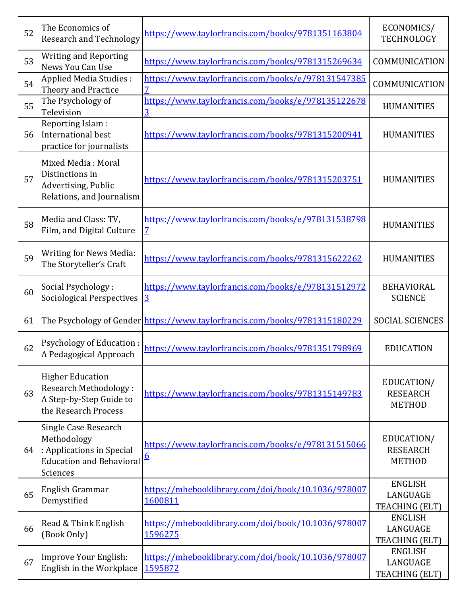| 52 | The Economics of<br><b>Research and Technology</b>                                                              | https://www.taylorfrancis.com/books/9781351163804                          | ECONOMICS/<br>TECHNOLOGY                       |
|----|-----------------------------------------------------------------------------------------------------------------|----------------------------------------------------------------------------|------------------------------------------------|
| 53 | <b>Writing and Reporting</b><br>News You Can Use                                                                | https://www.taylorfrancis.com/books/9781315269634                          | COMMUNICATION                                  |
| 54 | Applied Media Studies:<br>Theory and Practice                                                                   | https://www.taylorfrancis.com/books/e/978131547385                         | COMMUNICATION                                  |
| 55 | The Psychology of<br>Television                                                                                 | https://www.taylorfrancis.com/books/e/978135122678<br>3                    | <b>HUMANITIES</b>                              |
| 56 | Reporting Islam:<br>International best<br>practice for journalists                                              | https://www.taylorfrancis.com/books/9781315200941                          | <b>HUMANITIES</b>                              |
| 57 | Mixed Media: Moral<br>Distinctions in<br>Advertising, Public<br>Relations, and Journalism                       | https://www.taylorfrancis.com/books/9781315203751                          | <b>HUMANITIES</b>                              |
| 58 | Media and Class: TV,<br>Film, and Digital Culture                                                               | https://www.taylorfrancis.com/books/e/978131538798<br>$\overline{Z}$       | <b>HUMANITIES</b>                              |
| 59 | <b>Writing for News Media:</b><br>The Storyteller's Craft                                                       | https://www.taylorfrancis.com/books/9781315622262                          | <b>HUMANITIES</b>                              |
| 60 | Social Psychology:<br><b>Sociological Perspectives</b>                                                          | https://www.taylorfrancis.com/books/e/978131512972<br>$\overline{3}$       | <b>BEHAVIORAL</b><br><b>SCIENCE</b>            |
| 61 |                                                                                                                 | The Psychology of Gender https://www.taylorfrancis.com/books/9781315180229 | <b>SOCIAL SCIENCES</b>                         |
| 62 | Psychology of Education :<br>A Pedagogical Approach                                                             | https://www.taylorfrancis.com/books/9781351798969                          | <b>EDUCATION</b>                               |
| 63 | <b>Higher Education</b><br><b>Research Methodology:</b><br>A Step-by-Step Guide to<br>the Research Process      | https://www.taylorfrancis.com/books/9781315149783                          | EDUCATION/<br><b>RESEARCH</b><br><b>METHOD</b> |
| 64 | Single Case Research<br>Methodology<br>: Applications in Special<br><b>Education and Behavioral</b><br>Sciences | https://www.taylorfrancis.com/books/e/978131515066<br>$6 \overline{6}$     | EDUCATION/<br><b>RESEARCH</b><br><b>METHOD</b> |
| 65 | English Grammar<br>Demystified                                                                                  | https://mhebooklibrary.com/doi/book/10.1036/978007<br>1600811              | <b>ENGLISH</b><br>LANGUAGE<br>TEACHING (ELT)   |
| 66 | Read & Think English<br>(Book Only)                                                                             | https://mhebooklibrary.com/doi/book/10.1036/978007<br>1596275              | <b>ENGLISH</b><br>LANGUAGE<br>TEACHING (ELT)   |
| 67 | Improve Your English:<br>English in the Workplace                                                               | https://mhebooklibrary.com/doi/book/10.1036/978007<br>1595872              | <b>ENGLISH</b><br>LANGUAGE<br>TEACHING (ELT)   |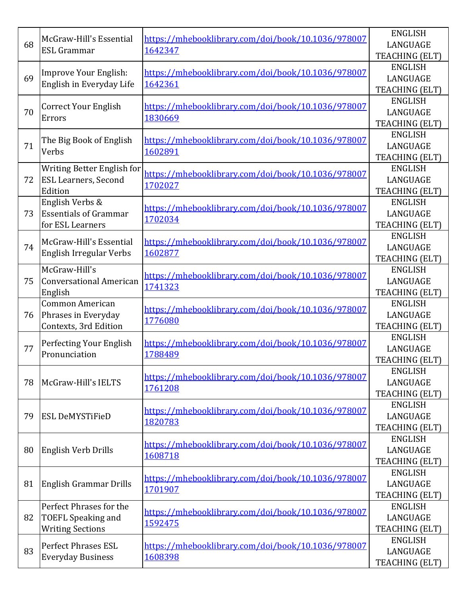|    | McGraw-Hill's Essential        | https://mhebooklibrary.com/doi/book/10.1036/978007 | <b>ENGLISH</b>                   |
|----|--------------------------------|----------------------------------------------------|----------------------------------|
| 68 | <b>ESL Grammar</b>             | 1642347                                            | LANGUAGE                         |
|    |                                |                                                    | TEACHING (ELT)                   |
|    | Improve Your English:          | https://mhebooklibrary.com/doi/book/10.1036/978007 | <b>ENGLISH</b>                   |
| 69 | English in Everyday Life       | 1642361                                            | LANGUAGE                         |
|    |                                |                                                    | TEACHING (ELT)                   |
|    | <b>Correct Your English</b>    | https://mhebooklibrary.com/doi/book/10.1036/978007 | <b>ENGLISH</b>                   |
| 70 | Errors                         | 1830669                                            | LANGUAGE                         |
|    |                                |                                                    | TEACHING (ELT)                   |
|    | The Big Book of English        | https://mhebooklibrary.com/doi/book/10.1036/978007 | <b>ENGLISH</b>                   |
| 71 | Verbs                          | 1602891                                            | LANGUAGE                         |
|    |                                |                                                    | TEACHING (ELT)                   |
|    | Writing Better English for     | https://mhebooklibrary.com/doi/book/10.1036/978007 | <b>ENGLISH</b>                   |
| 72 | <b>ESL Learners, Second</b>    | 1702027                                            | LANGUAGE                         |
|    | Edition                        |                                                    | TEACHING (ELT)                   |
|    | English Verbs &                |                                                    | <b>ENGLISH</b>                   |
| 73 | <b>Essentials of Grammar</b>   | https://mhebooklibrary.com/doi/book/10.1036/978007 | LANGUAGE                         |
|    | for ESL Learners               | 1702034                                            | TEACHING (ELT)                   |
|    |                                |                                                    | <b>ENGLISH</b>                   |
| 74 | McGraw-Hill's Essential        | https://mhebooklibrary.com/doi/book/10.1036/978007 | LANGUAGE                         |
|    | English Irregular Verbs        | 1602877                                            | TEACHING (ELT)                   |
|    | McGraw-Hill's                  |                                                    | <b>ENGLISH</b>                   |
| 75 | <b>Conversational American</b> | https://mhebooklibrary.com/doi/book/10.1036/978007 | LANGUAGE                         |
|    | English                        | 1741323                                            | TEACHING (ELT)                   |
|    |                                |                                                    |                                  |
|    | <b>Common American</b>         |                                                    | <b>ENGLISH</b>                   |
|    |                                | https://mhebooklibrary.com/doi/book/10.1036/978007 |                                  |
| 76 | Phrases in Everyday            | 1776080                                            | LANGUAGE                         |
|    | Contexts, 3rd Edition          |                                                    | TEACHING (ELT)                   |
| 77 | Perfecting Your English        | https://mhebooklibrary.com/doi/book/10.1036/978007 | <b>ENGLISH</b>                   |
|    | Pronunciation                  | 1788489                                            | LANGUAGE                         |
|    |                                |                                                    | TEACHING (ELT)<br><b>ENGLISH</b> |
|    |                                | https://mhebooklibrary.com/doi/book/10.1036/978007 |                                  |
| 78 | McGraw-Hill's IELTS            | 1761208                                            | LANGUAGE                         |
|    |                                |                                                    | TEACHING (ELT)                   |
|    |                                | https://mhebooklibrary.com/doi/book/10.1036/978007 | <b>ENGLISH</b>                   |
| 79 | <b>ESL DeMYSTIFIeD</b>         | 1820783                                            | LANGUAGE                         |
|    |                                |                                                    | TEACHING (ELT)                   |
|    |                                | https://mhebooklibrary.com/doi/book/10.1036/978007 | <b>ENGLISH</b>                   |
| 80 | English Verb Drills            | 1608718                                            | LANGUAGE                         |
|    |                                |                                                    | TEACHING (ELT)                   |
|    |                                | https://mhebooklibrary.com/doi/book/10.1036/978007 | <b>ENGLISH</b>                   |
| 81 | English Grammar Drills         | 1701907                                            | LANGUAGE                         |
|    |                                |                                                    | TEACHING (ELT)                   |
|    | Perfect Phrases for the        | https://mhebooklibrary.com/doi/book/10.1036/978007 | <b>ENGLISH</b>                   |
| 82 | <b>TOEFL Speaking and</b>      | 1592475                                            | LANGUAGE                         |
|    | <b>Writing Sections</b>        |                                                    | TEACHING (ELT)                   |
|    | <b>Perfect Phrases ESL</b>     | https://mhebooklibrary.com/doi/book/10.1036/978007 | <b>ENGLISH</b>                   |
| 83 | <b>Everyday Business</b>       | 1608398                                            | LANGUAGE<br>TEACHING (ELT)       |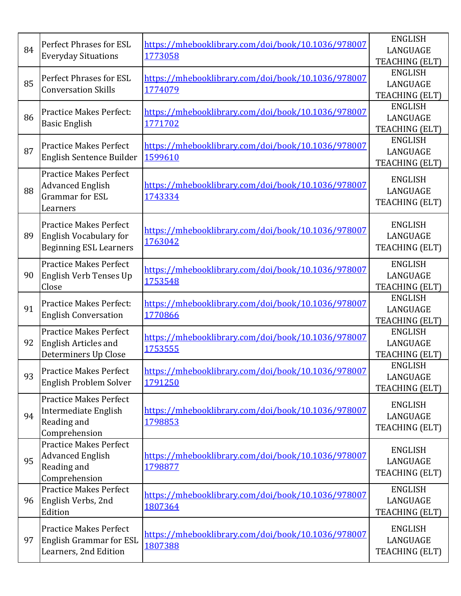| 84 | <b>Perfect Phrases for ESL</b><br><b>Everyday Situations</b>                                    | https://mhebooklibrary.com/doi/book/10.1036/978007<br>1773058 | <b>ENGLISH</b><br>LANGUAGE<br>TEACHING (ELT) |
|----|-------------------------------------------------------------------------------------------------|---------------------------------------------------------------|----------------------------------------------|
| 85 | <b>Perfect Phrases for ESL</b><br><b>Conversation Skills</b>                                    | https://mhebooklibrary.com/doi/book/10.1036/978007<br>1774079 | <b>ENGLISH</b><br>LANGUAGE<br>TEACHING (ELT) |
| 86 | <b>Practice Makes Perfect:</b><br><b>Basic English</b>                                          | https://mhebooklibrary.com/doi/book/10.1036/978007<br>1771702 | <b>ENGLISH</b><br>LANGUAGE<br>TEACHING (ELT) |
| 87 | <b>Practice Makes Perfect</b><br>English Sentence Builder                                       | https://mhebooklibrary.com/doi/book/10.1036/978007<br>1599610 | <b>ENGLISH</b><br>LANGUAGE<br>TEACHING (ELT) |
| 88 | <b>Practice Makes Perfect</b><br><b>Advanced English</b><br><b>Grammar</b> for ESL<br>Learners  | https://mhebooklibrary.com/doi/book/10.1036/978007<br>1743334 | <b>ENGLISH</b><br>LANGUAGE<br>TEACHING (ELT) |
| 89 | <b>Practice Makes Perfect</b><br><b>English Vocabulary for</b><br><b>Beginning ESL Learners</b> | https://mhebooklibrary.com/doi/book/10.1036/978007<br>1763042 | <b>ENGLISH</b><br>LANGUAGE<br>TEACHING (ELT) |
| 90 | <b>Practice Makes Perfect</b><br>English Verb Tenses Up<br>Close                                | https://mhebooklibrary.com/doi/book/10.1036/978007<br>1753548 | <b>ENGLISH</b><br>LANGUAGE<br>TEACHING (ELT) |
| 91 | <b>Practice Makes Perfect:</b><br><b>English Conversation</b>                                   | https://mhebooklibrary.com/doi/book/10.1036/978007<br>1770866 | <b>ENGLISH</b><br>LANGUAGE<br>TEACHING (ELT) |
| 92 | <b>Practice Makes Perfect</b><br>English Articles and<br>Determiners Up Close                   | https://mhebooklibrary.com/doi/book/10.1036/978007<br>1753555 | <b>ENGLISH</b><br>LANGUAGE<br>TEACHING (ELT) |
| 93 | <b>Practice Makes Perfect</b><br>English Problem Solver                                         | https://mhebooklibrary.com/doi/book/10.1036/978007<br>1791250 | <b>ENGLISH</b><br>LANGUAGE<br>TEACHING (ELT) |
| 94 | <b>Practice Makes Perfect</b><br>Intermediate English<br>Reading and<br>Comprehension           | https://mhebooklibrary.com/doi/book/10.1036/978007<br>1798853 | <b>ENGLISH</b><br>LANGUAGE<br>TEACHING (ELT) |
| 95 | <b>Practice Makes Perfect</b><br><b>Advanced English</b><br>Reading and<br>Comprehension        | https://mhebooklibrary.com/doi/book/10.1036/978007<br>1798877 | <b>ENGLISH</b><br>LANGUAGE<br>TEACHING (ELT) |
| 96 | <b>Practice Makes Perfect</b><br>English Verbs, 2nd<br>Edition                                  | https://mhebooklibrary.com/doi/book/10.1036/978007<br>1807364 | <b>ENGLISH</b><br>LANGUAGE<br>TEACHING (ELT) |
| 97 | <b>Practice Makes Perfect</b><br><b>English Grammar for ESL</b><br>Learners, 2nd Edition        | https://mhebooklibrary.com/doi/book/10.1036/978007<br>1807388 | <b>ENGLISH</b><br>LANGUAGE<br>TEACHING (ELT) |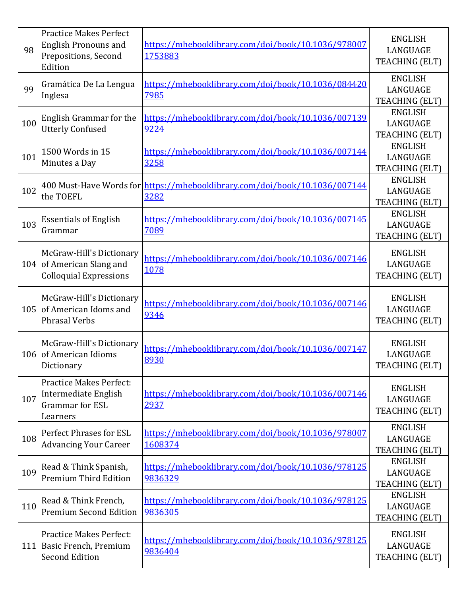| 98  | <b>Practice Makes Perfect</b><br><b>English Pronouns and</b><br>Prepositions, Second<br>Edition | https://mhebooklibrary.com/doi/book/10.1036/978007<br>1753883                      | <b>ENGLISH</b><br>LANGUAGE<br>TEACHING (ELT)        |
|-----|-------------------------------------------------------------------------------------------------|------------------------------------------------------------------------------------|-----------------------------------------------------|
| 99  | Gramática De La Lengua<br>Inglesa                                                               | https://mhebooklibrary.com/doi/book/10.1036/084420<br>7985                         | <b>ENGLISH</b><br>LANGUAGE<br>TEACHING (ELT)        |
| 100 | English Grammar for the<br><b>Utterly Confused</b>                                              | https://mhebooklibrary.com/doi/book/10.1036/007139<br>9224                         | <b>ENGLISH</b><br>LANGUAGE<br><b>TEACHING (ELT)</b> |
| 101 | 1500 Words in 15<br>Minutes a Day                                                               | https://mhebooklibrary.com/doi/book/10.1036/007144<br>3258                         | <b>ENGLISH</b><br>LANGUAGE<br>TEACHING (ELT)        |
| 102 | the TOEFL                                                                                       | 400 Must-Have Words for https://mhebooklibrary.com/doi/book/10.1036/007144<br>3282 | <b>ENGLISH</b><br>LANGUAGE<br>TEACHING (ELT)        |
| 103 | <b>Essentials of English</b><br>Grammar                                                         | https://mhebooklibrary.com/doi/book/10.1036/007145<br>7089                         | <b>ENGLISH</b><br>LANGUAGE<br>TEACHING (ELT)        |
|     | McGraw-Hill's Dictionary<br>104 of American Slang and<br><b>Colloquial Expressions</b>          | https://mhebooklibrary.com/doi/book/10.1036/007146<br>1078                         | <b>ENGLISH</b><br>LANGUAGE<br>TEACHING (ELT)        |
| 105 | McGraw-Hill's Dictionary<br>of American Idoms and<br><b>Phrasal Verbs</b>                       | https://mhebooklibrary.com/doi/book/10.1036/007146<br>9346                         | <b>ENGLISH</b><br>LANGUAGE<br>TEACHING (ELT)        |
| 106 | McGraw-Hill's Dictionary<br>of American Idioms<br>Dictionary                                    | https://mhebooklibrary.com/doi/book/10.1036/007147<br>8930                         | <b>ENGLISH</b><br>LANGUAGE<br>TEACHING (ELT)        |
| 107 | <b>Practice Makes Perfect:</b><br>Intermediate English<br><b>Grammar</b> for ESL<br>Learners    | https://mhebooklibrary.com/doi/book/10.1036/007146<br>2937                         | <b>ENGLISH</b><br>LANGUAGE<br>TEACHING (ELT)        |
| 108 | Perfect Phrases for ESL<br><b>Advancing Your Career</b>                                         | https://mhebooklibrary.com/doi/book/10.1036/978007<br>1608374                      | <b>ENGLISH</b><br>LANGUAGE<br>TEACHING (ELT)        |
| 109 | Read & Think Spanish,<br><b>Premium Third Edition</b>                                           | https://mhebooklibrary.com/doi/book/10.1036/978125<br>9836329                      | <b>ENGLISH</b><br>LANGUAGE<br>TEACHING (ELT)        |
| 110 | Read & Think French,<br><b>Premium Second Edition</b>                                           | https://mhebooklibrary.com/doi/book/10.1036/978125<br>9836305                      | <b>ENGLISH</b><br>LANGUAGE<br>TEACHING (ELT)        |
|     | <b>Practice Makes Perfect:</b><br>111 Basic French, Premium<br><b>Second Edition</b>            | https://mhebooklibrary.com/doi/book/10.1036/978125<br>9836404                      | <b>ENGLISH</b><br>LANGUAGE<br>TEACHING (ELT)        |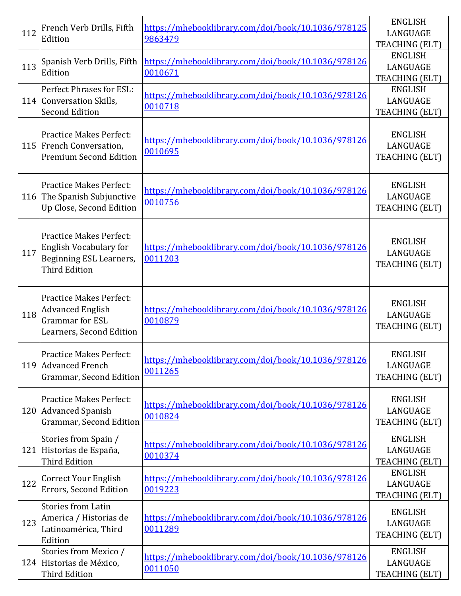| 112 | French Verb Drills, Fifth<br>Edition                                                                               | https://mhebooklibrary.com/doi/book/10.1036/978125<br>9863479 | <b>ENGLISH</b><br>LANGUAGE<br>TEACHING (ELT) |
|-----|--------------------------------------------------------------------------------------------------------------------|---------------------------------------------------------------|----------------------------------------------|
| 113 | Spanish Verb Drills, Fifth<br>Edition                                                                              | https://mhebooklibrary.com/doi/book/10.1036/978126<br>0010671 | <b>ENGLISH</b><br>LANGUAGE<br>TEACHING (ELT) |
|     | Perfect Phrases for ESL:<br>114 Conversation Skills,<br><b>Second Edition</b>                                      | https://mhebooklibrary.com/doi/book/10.1036/978126<br>0010718 | <b>ENGLISH</b><br>LANGUAGE<br>TEACHING (ELT) |
|     | <b>Practice Makes Perfect:</b><br>115 French Conversation,<br><b>Premium Second Edition</b>                        | https://mhebooklibrary.com/doi/book/10.1036/978126<br>0010695 | <b>ENGLISH</b><br>LANGUAGE<br>TEACHING (ELT) |
|     | <b>Practice Makes Perfect:</b><br>116 The Spanish Subjunctive<br>Up Close, Second Edition                          | https://mhebooklibrary.com/doi/book/10.1036/978126<br>0010756 | <b>ENGLISH</b><br>LANGUAGE<br>TEACHING (ELT) |
| 117 | <b>Practice Makes Perfect:</b><br><b>English Vocabulary for</b><br>Beginning ESL Learners,<br><b>Third Edition</b> | https://mhebooklibrary.com/doi/book/10.1036/978126<br>0011203 | <b>ENGLISH</b><br>LANGUAGE<br>TEACHING (ELT) |
| 118 | <b>Practice Makes Perfect:</b><br><b>Advanced English</b><br><b>Grammar</b> for ESL<br>Learners, Second Edition    | https://mhebooklibrary.com/doi/book/10.1036/978126<br>0010879 | <b>ENGLISH</b><br>LANGUAGE<br>TEACHING (ELT) |
|     | Practice Makes Perfect:<br>119 Advanced French<br>Grammar, Second Edition                                          | https://mhebooklibrary.com/doi/book/10.1036/978126<br>0011265 | <b>ENGLISH</b><br>LANGUAGE<br>TEACHING (ELT) |
|     | <b>Practice Makes Perfect:</b><br>120 Advanced Spanish<br>Grammar, Second Edition                                  | https://mhebooklibrary.com/doi/book/10.1036/978126<br>0010824 | <b>ENGLISH</b><br>LANGUAGE<br>TEACHING (ELT) |
| 121 | Stories from Spain /<br>Historias de España,<br><b>Third Edition</b>                                               | https://mhebooklibrary.com/doi/book/10.1036/978126<br>0010374 | <b>ENGLISH</b><br>LANGUAGE<br>TEACHING (ELT) |
| 122 | <b>Correct Your English</b><br>Errors, Second Edition                                                              | https://mhebooklibrary.com/doi/book/10.1036/978126<br>0019223 | <b>ENGLISH</b><br>LANGUAGE<br>TEACHING (ELT) |
| 123 | <b>Stories from Latin</b><br>America / Historias de<br>Latinoamérica, Third<br>Edition                             | https://mhebooklibrary.com/doi/book/10.1036/978126<br>0011289 | <b>ENGLISH</b><br>LANGUAGE<br>TEACHING (ELT) |
|     | Stories from Mexico /<br>124 Historias de México,<br><b>Third Edition</b>                                          | https://mhebooklibrary.com/doi/book/10.1036/978126<br>0011050 | <b>ENGLISH</b><br>LANGUAGE<br>TEACHING (ELT) |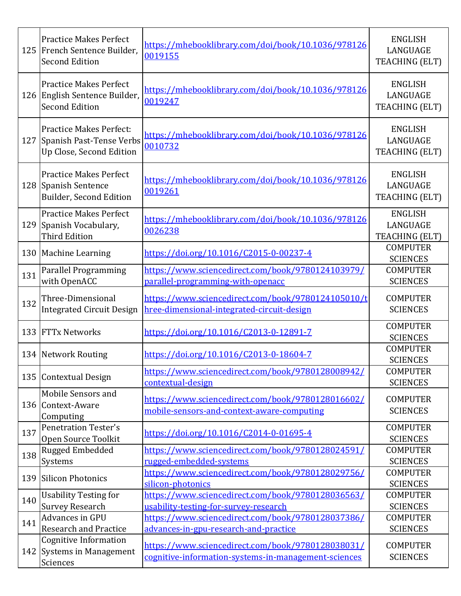|     | <b>Practice Makes Perfect</b><br>125 French Sentence Builder.<br><b>Second Edition</b>  | https://mhebooklibrary.com/doi/book/10.1036/978126<br>0019155                                             | <b>ENGLISH</b><br>LANGUAGE<br>TEACHING (ELT)        |
|-----|-----------------------------------------------------------------------------------------|-----------------------------------------------------------------------------------------------------------|-----------------------------------------------------|
|     | <b>Practice Makes Perfect</b><br>126 English Sentence Builder,<br><b>Second Edition</b> | https://mhebooklibrary.com/doi/book/10.1036/978126<br>0019247                                             | <b>ENGLISH</b><br>LANGUAGE<br>TEACHING (ELT)        |
| 127 | <b>Practice Makes Perfect:</b><br>Spanish Past-Tense Verbs<br>Up Close, Second Edition  | https://mhebooklibrary.com/doi/book/10.1036/978126<br>0010732                                             | <b>ENGLISH</b><br>LANGUAGE<br>TEACHING (ELT)        |
|     | <b>Practice Makes Perfect</b><br>128 Spanish Sentence<br>Builder, Second Edition        | https://mhebooklibrary.com/doi/book/10.1036/978126<br>0019261                                             | <b>ENGLISH</b><br>LANGUAGE<br>TEACHING (ELT)        |
|     | <b>Practice Makes Perfect</b><br>129 Spanish Vocabulary,<br><b>Third Edition</b>        | https://mhebooklibrary.com/doi/book/10.1036/978126<br>0026238                                             | <b>ENGLISH</b><br>LANGUAGE<br><b>TEACHING (ELT)</b> |
|     | 130 Machine Learning                                                                    | https://doi.org/10.1016/C2015-0-00237-4                                                                   | <b>COMPUTER</b><br><b>SCIENCES</b>                  |
| 131 | Parallel Programming<br>with OpenACC                                                    | https://www.sciencedirect.com/book/9780124103979/<br>parallel-programming-with-openacc                    | <b>COMPUTER</b><br><b>SCIENCES</b>                  |
| 132 | Three-Dimensional<br><b>Integrated Circuit Design</b>                                   | https://www.sciencedirect.com/book/9780124105010/t<br>hree-dimensional-integrated-circuit-design          | <b>COMPUTER</b><br><b>SCIENCES</b>                  |
| 133 | <b>FTTx Networks</b>                                                                    | https://doi.org/10.1016/C2013-0-12891-7                                                                   | <b>COMPUTER</b><br><b>SCIENCES</b>                  |
|     | 134 Network Routing                                                                     | https://doi.org/10.1016/C2013-0-18604-7                                                                   | <b>COMPUTER</b><br><b>SCIENCES</b>                  |
|     | 135 Contextual Design                                                                   | https://www.sciencedirect.com/book/9780128008942/<br>contextual-design                                    | <b>COMPUTER</b><br><b>SCIENCES</b>                  |
|     | Mobile Sensors and<br>136 Context-Aware<br>Computing                                    | https://www.sciencedirect.com/book/9780128016602/<br>mobile-sensors-and-context-aware-computing           | <b>COMPUTER</b><br><b>SCIENCES</b>                  |
| 137 | <b>Penetration Tester's</b><br>Open Source Toolkit                                      | https://doi.org/10.1016/C2014-0-01695-4                                                                   | <b>COMPUTER</b><br><b>SCIENCES</b>                  |
| 138 | Rugged Embedded<br><b>Systems</b>                                                       | https://www.sciencedirect.com/book/9780128024591/<br>rugged-embedded-systems                              | <b>COMPUTER</b><br><b>SCIENCES</b>                  |
| 139 | Silicon Photonics                                                                       | https://www.sciencedirect.com/book/9780128029756/<br>silicon-photonics                                    | <b>COMPUTER</b><br><b>SCIENCES</b>                  |
|     | <b>Usability Testing for</b>                                                            | https://www.sciencedirect.com/book/9780128036563/                                                         | <b>COMPUTER</b>                                     |
| 140 | <b>Survey Research</b>                                                                  | usability-testing-for-survey-research                                                                     | <b>SCIENCES</b>                                     |
| 141 | Advances in GPU                                                                         | https://www.sciencedirect.com/book/9780128037386/                                                         | <b>COMPUTER</b>                                     |
|     | <b>Research and Practice</b>                                                            | advances-in-gpu-research-and-practice                                                                     | <b>SCIENCES</b>                                     |
|     | <b>Cognitive Information</b><br>142 Systems in Management<br>Sciences                   | https://www.sciencedirect.com/book/9780128038031/<br>cognitive-information-systems-in-management-sciences | <b>COMPUTER</b><br><b>SCIENCES</b>                  |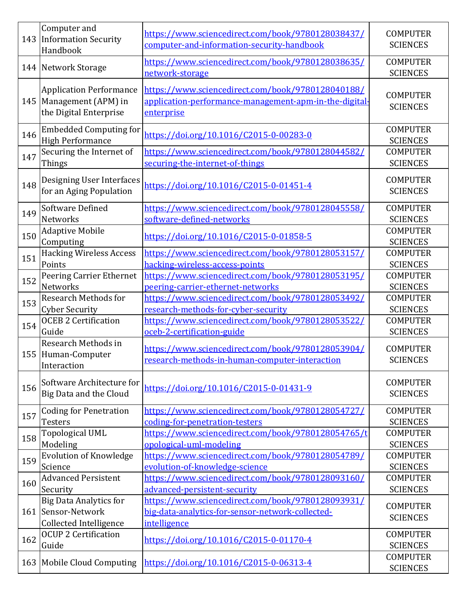| 143 | Computer and<br><b>Information Security</b><br>Handbook                             | https://www.sciencedirect.com/book/9780128038437/<br>computer-and-information-security-handbook                           | <b>COMPUTER</b><br><b>SCIENCES</b> |
|-----|-------------------------------------------------------------------------------------|---------------------------------------------------------------------------------------------------------------------------|------------------------------------|
|     | 144 Network Storage                                                                 | https://www.sciencedirect.com/book/9780128038635/<br>network-storage                                                      | <b>COMPUTER</b><br><b>SCIENCES</b> |
|     | <b>Application Performance</b><br>145 Management (APM) in<br>the Digital Enterprise | https://www.sciencedirect.com/book/9780128040188/<br>application-performance-management-apm-in-the-digital-<br>enterprise | <b>COMPUTER</b><br><b>SCIENCES</b> |
| 146 | <b>Embedded Computing for</b><br><b>High Performance</b>                            | https://doi.org/10.1016/C2015-0-00283-0                                                                                   | <b>COMPUTER</b><br><b>SCIENCES</b> |
| 147 | Securing the Internet of<br><b>Things</b>                                           | https://www.sciencedirect.com/book/9780128044582/<br>securing-the-internet-of-things                                      | <b>COMPUTER</b><br><b>SCIENCES</b> |
| 148 | Designing User Interfaces<br>for an Aging Population                                | https://doi.org/10.1016/C2015-0-01451-4                                                                                   | <b>COMPUTER</b><br><b>SCIENCES</b> |
| 149 | <b>Software Defined</b><br><b>Networks</b>                                          | https://www.sciencedirect.com/book/9780128045558/<br>software-defined-networks                                            | <b>COMPUTER</b><br><b>SCIENCES</b> |
| 150 | <b>Adaptive Mobile</b><br>Computing                                                 | https://doi.org/10.1016/C2015-0-01858-5                                                                                   | <b>COMPUTER</b><br><b>SCIENCES</b> |
| 151 | <b>Hacking Wireless Access</b><br>Points                                            | https://www.sciencedirect.com/book/9780128053157/<br>hacking-wireless-access-points                                       | <b>COMPUTER</b><br><b>SCIENCES</b> |
| 152 | Peering Carrier Ethernet<br>Networks                                                | https://www.sciencedirect.com/book/9780128053195/<br>peering-carrier-ethernet-networks                                    | <b>COMPUTER</b><br><b>SCIENCES</b> |
| 153 | <b>Research Methods for</b><br><b>Cyber Security</b>                                | https://www.sciencedirect.com/book/9780128053492/<br>research-methods-for-cyber-security                                  | <b>COMPUTER</b><br><b>SCIENCES</b> |
| 154 | <b>OCEB 2 Certification</b><br>Guide                                                | https://www.sciencedirect.com/book/9780128053522/<br>oceb-2-certification-guide                                           | <b>COMPUTER</b><br><b>SCIENCES</b> |
|     | Research Methods in<br>155 Human-Computer<br>Interaction                            | https://www.sciencedirect.com/book/9780128053904/<br>research-methods-in-human-computer-interaction                       | <b>COMPUTER</b><br><b>SCIENCES</b> |
| 156 | Software Architecture for<br>Big Data and the Cloud                                 | https://doi.org/10.1016/C2015-0-01431-9                                                                                   | <b>COMPUTER</b><br><b>SCIENCES</b> |
| 157 | <b>Coding for Penetration</b><br><b>Testers</b>                                     | https://www.sciencedirect.com/book/9780128054727/<br>coding-for-penetration-testers                                       | <b>COMPUTER</b><br><b>SCIENCES</b> |
| 158 | <b>Topological UML</b><br>Modeling                                                  | https://www.sciencedirect.com/book/9780128054765/t<br>opological-uml-modeling                                             | <b>COMPUTER</b><br><b>SCIENCES</b> |
| 159 | <b>Evolution of Knowledge</b><br>Science                                            | https://www.sciencedirect.com/book/9780128054789/<br>evolution-of-knowledge-science                                       | <b>COMPUTER</b><br><b>SCIENCES</b> |
| 160 | <b>Advanced Persistent</b><br>Security                                              | https://www.sciencedirect.com/book/9780128093160/<br>advanced-persistent-security                                         | <b>COMPUTER</b><br><b>SCIENCES</b> |
| 161 | <b>Big Data Analytics for</b><br>Sensor-Network<br><b>Collected Intelligence</b>    | https://www.sciencedirect.com/book/9780128093931/<br>big-data-analytics-for-sensor-network-collected-<br>intelligence     | <b>COMPUTER</b><br><b>SCIENCES</b> |
| 162 | <b>OCUP 2 Certification</b><br>Guide                                                | https://doi.org/10.1016/C2015-0-01170-4                                                                                   | <b>COMPUTER</b><br><b>SCIENCES</b> |
|     | 163 Mobile Cloud Computing                                                          | https://doi.org/10.1016/C2015-0-06313-4                                                                                   | <b>COMPUTER</b><br><b>SCIENCES</b> |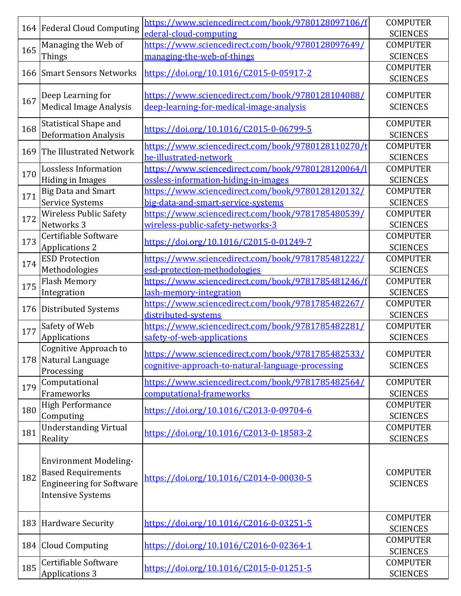|     | 164 Federal Cloud Computing     | https://www.sciencedirect.com/book/9780128097106/f<br>ederal-cloud-computing  | <b>COMPUTER</b><br><b>SCIENCES</b> |
|-----|---------------------------------|-------------------------------------------------------------------------------|------------------------------------|
|     | Managing the Web of             | https://www.sciencedirect.com/book/9780128097649/                             | <b>COMPUTER</b>                    |
| 165 | Things                          | managing-the-web-of-things                                                    | <b>SCIENCES</b>                    |
|     |                                 |                                                                               | <b>COMPUTER</b>                    |
| 166 | <b>Smart Sensors Networks</b>   | https://doi.org/10.1016/C2015-0-05917-2                                       | <b>SCIENCES</b>                    |
|     | Deep Learning for               | https://www.sciencedirect.com/book/9780128104088/                             | <b>COMPUTER</b>                    |
| 167 | <b>Medical Image Analysis</b>   | deep-learning-for-medical-image-analysis                                      | <b>SCIENCES</b>                    |
|     |                                 |                                                                               |                                    |
| 168 | <b>Statistical Shape and</b>    | https://doi.org/10.1016/C2015-0-06799-5                                       | <b>COMPUTER</b>                    |
|     | <b>Deformation Analysis</b>     |                                                                               | <b>SCIENCES</b>                    |
| 169 | The Illustrated Network         | https://www.sciencedirect.com/book/9780128110270/t                            | <b>COMPUTER</b>                    |
|     |                                 | he-illustrated-network                                                        | <b>SCIENCES</b>                    |
| 170 | <b>Lossless Information</b>     | https://www.sciencedirect.com/book/9780128120064/l                            | <b>COMPUTER</b>                    |
|     | <b>Hiding in Images</b>         | ossless-information-hiding-in-images                                          | <b>SCIENCES</b>                    |
| 171 | <b>Big Data and Smart</b>       | https://www.sciencedirect.com/book/9780128120132/                             | <b>COMPUTER</b>                    |
|     | <b>Service Systems</b>          | big-data-and-smart-service-systems                                            | <b>SCIENCES</b>                    |
|     | <b>Wireless Public Safety</b>   | https://www.sciencedirect.com/book/9781785480539/                             | <b>COMPUTER</b>                    |
| 172 | Networks 3                      | wireless-public-safety-networks-3                                             | <b>SCIENCES</b>                    |
|     | Certifiable Software            |                                                                               | <b>COMPUTER</b>                    |
| 173 | <b>Applications 2</b>           | https://doi.org/10.1016/C2015-0-01249-7                                       | <b>SCIENCES</b>                    |
|     | <b>ESD Protection</b>           | https://www.sciencedirect.com/book/9781785481222/                             | <b>COMPUTER</b>                    |
| 174 | Methodologies                   | esd-protection-methodologies                                                  | <b>SCIENCES</b>                    |
|     | <b>Flash Memory</b>             | https://www.sciencedirect.com/book/9781785481246/f                            | <b>COMPUTER</b>                    |
| 175 | Integration                     | lash-memory-integration                                                       | <b>SCIENCES</b>                    |
|     |                                 | https://www.sciencedirect.com/book/9781785482267/                             | <b>COMPUTER</b>                    |
| 176 | Distributed Systems             | distributed-systems                                                           | <b>SCIENCES</b>                    |
|     | Safety of Web                   | https://www.sciencedirect.com/book/9781785482281/                             | <b>COMPUTER</b>                    |
| 177 | Applications                    | safety-of-web-applications                                                    | <b>SCIENCES</b>                    |
|     | Cognitive Approach to           |                                                                               |                                    |
|     | 178 Natural Language            | https://www.sciencedirect.com/book/9781785482533/                             | <b>COMPUTER</b>                    |
|     | Processing                      | cognitive-approach-to-natural-language-processing                             | <b>SCIENCES</b>                    |
|     | Computational                   |                                                                               | <b>COMPUTER</b>                    |
| 179 | Frameworks                      | https://www.sciencedirect.com/book/9781785482564/<br>computational-frameworks |                                    |
|     |                                 |                                                                               | <b>SCIENCES</b>                    |
| 180 | <b>High Performance</b>         | https://doi.org/10.1016/C2013-0-09704-6                                       | <b>COMPUTER</b>                    |
|     | Computing                       |                                                                               | <b>SCIENCES</b>                    |
| 181 | <b>Understanding Virtual</b>    | https://doi.org/10.1016/C2013-0-18583-2                                       | <b>COMPUTER</b>                    |
|     | Reality                         |                                                                               | <b>SCIENCES</b>                    |
|     |                                 |                                                                               |                                    |
|     | <b>Environment Modeling-</b>    |                                                                               |                                    |
| 182 | <b>Based Requirements</b>       | https://doi.org/10.1016/C2014-0-00030-5                                       | <b>COMPUTER</b>                    |
|     | <b>Engineering for Software</b> |                                                                               | <b>SCIENCES</b>                    |
|     | <b>Intensive Systems</b>        |                                                                               |                                    |
|     |                                 |                                                                               |                                    |
| 183 | Hardware Security               | https://doi.org/10.1016/C2016-0-03251-5                                       | <b>COMPUTER</b>                    |
|     |                                 |                                                                               | <b>SCIENCES</b>                    |
|     | 184 Cloud Computing             | https://doi.org/10.1016/C2016-0-02364-1                                       | <b>COMPUTER</b>                    |
|     |                                 |                                                                               | <b>SCIENCES</b>                    |
| 185 | Certifiable Software            | https://doi.org/10.1016/C2015-0-01251-5                                       | <b>COMPUTER</b>                    |
|     | <b>Applications 3</b>           |                                                                               | <b>SCIENCES</b>                    |